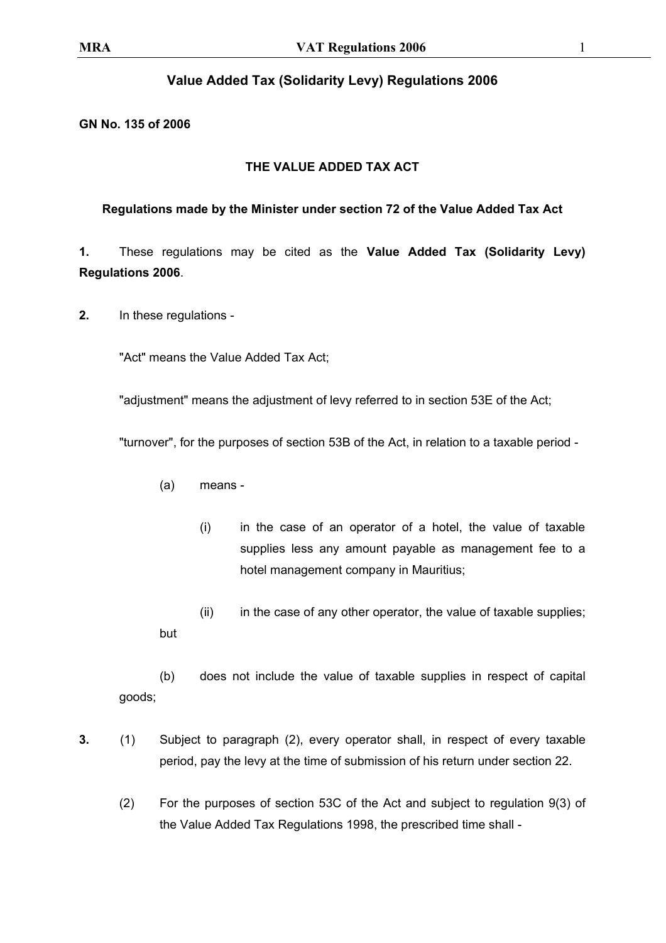## **Value Added Tax (Solidarity Levy) Regulations 2006**

## **GN No. 135 of 2006**

## **THE VALUE ADDED TAX ACT**

## **Regulations made by the Minister under section 72 of the Value Added Tax Act**

**1.** These regulations may be cited as the **Value Added Tax (Solidarity Levy) Regulations 2006**.

**2.** In these regulations -

"Act" means the Value Added Tax Act;

"adjustment" means the adjustment of levy referred to in section 53E of the Act;

"turnover", for the purposes of section 53B of the Act, in relation to a taxable period -

- (a) means
	- (i) in the case of an operator of a hotel, the value of taxable supplies less any amount payable as management fee to a hotel management company in Mauritius;
- (ii) in the case of any other operator, the value of taxable supplies; but

(b) does not include the value of taxable supplies in respect of capital goods;

- **3.** (1) Subject to paragraph (2), every operator shall, in respect of every taxable period, pay the levy at the time of submission of his return under section 22.
	- (2) For the purposes of section 53C of the Act and subject to regulation 9(3) of the Value Added Tax Regulations 1998, the prescribed time shall -